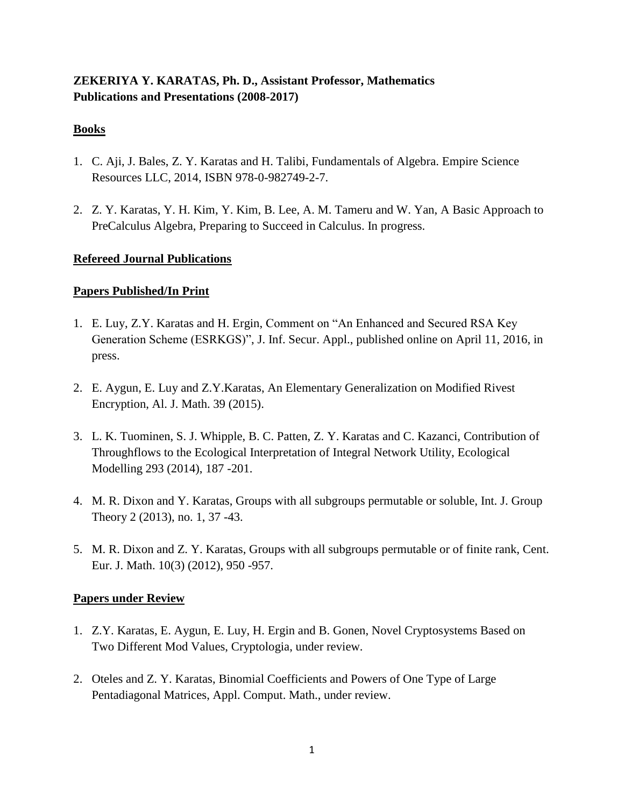# **ZEKERIYA Y. KARATAS, Ph. D., Assistant Professor, Mathematics Publications and Presentations (2008-2017)**

### **Books**

- 1. C. Aji, J. Bales, Z. Y. Karatas and H. Talibi, Fundamentals of Algebra. Empire Science Resources LLC, 2014, ISBN 978-0-982749-2-7.
- 2. Z. Y. Karatas, Y. H. Kim, Y. Kim, B. Lee, A. M. Tameru and W. Yan, A Basic Approach to PreCalculus Algebra, Preparing to Succeed in Calculus. In progress.

### **Refereed Journal Publications**

## **Papers Published/In Print**

- 1. E. Luy, Z.Y. Karatas and H. Ergin, Comment on "An Enhanced and Secured RSA Key Generation Scheme (ESRKGS)", J. Inf. Secur. Appl., published online on April 11, 2016, in press.
- 2. E. Aygun, E. Luy and Z.Y.Karatas, An Elementary Generalization on Modified Rivest Encryption, Al. J. Math. 39 (2015).
- 3. L. K. Tuominen, S. J. Whipple, B. C. Patten, Z. Y. Karatas and C. Kazanci, Contribution of Throughflows to the Ecological Interpretation of Integral Network Utility, Ecological Modelling 293 (2014), 187 -201.
- 4. M. R. Dixon and Y. Karatas, Groups with all subgroups permutable or soluble, Int. J. Group Theory 2 (2013), no. 1, 37 -43.
- 5. M. R. Dixon and Z. Y. Karatas, Groups with all subgroups permutable or of finite rank, Cent. Eur. J. Math. 10(3) (2012), 950 -957.

### **Papers under Review**

- 1. Z.Y. Karatas, E. Aygun, E. Luy, H. Ergin and B. Gonen, Novel Cryptosystems Based on Two Different Mod Values, Cryptologia, under review.
- 2. Oteles and Z. Y. Karatas, Binomial Coefficients and Powers of One Type of Large Pentadiagonal Matrices, Appl. Comput. Math., under review.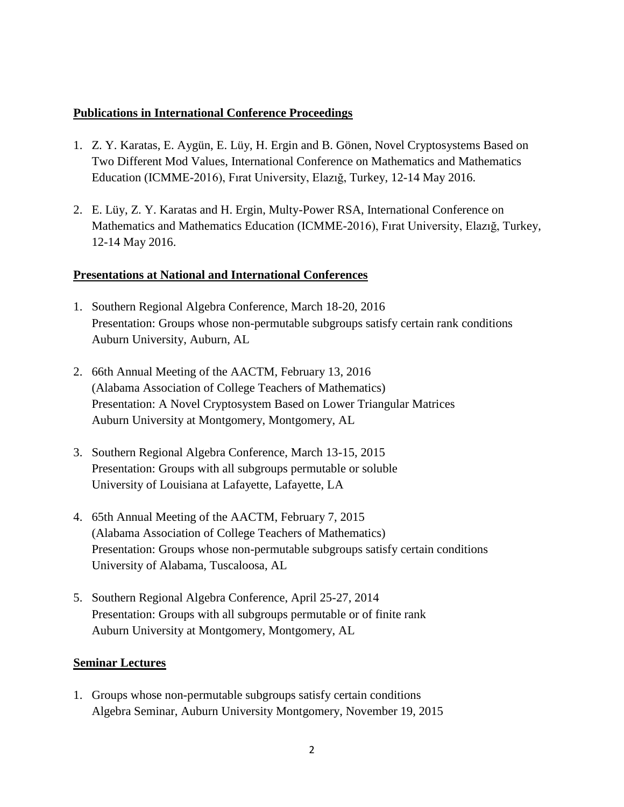#### **Publications in International Conference Proceedings**

- 1. Z. Y. Karatas, E. Aygün, E. Lüy, H. Ergin and B. Gönen, Novel Cryptosystems Based on Two Different Mod Values, International Conference on Mathematics and Mathematics Education (ICMME-2016), Fırat University, Elazığ, Turkey, 12-14 May 2016.
- 2. E. Lüy, Z. Y. Karatas and H. Ergin, Multy-Power RSA, International Conference on Mathematics and Mathematics Education (ICMME-2016), Fırat University, Elazığ, Turkey, 12-14 May 2016.

#### **Presentations at National and International Conferences**

- 1. Southern Regional Algebra Conference, March 18-20, 2016 Presentation: Groups whose non-permutable subgroups satisfy certain rank conditions Auburn University, Auburn, AL
- 2. 66th Annual Meeting of the AACTM, February 13, 2016 (Alabama Association of College Teachers of Mathematics) Presentation: A Novel Cryptosystem Based on Lower Triangular Matrices Auburn University at Montgomery, Montgomery, AL
- 3. Southern Regional Algebra Conference, March 13-15, 2015 Presentation: Groups with all subgroups permutable or soluble University of Louisiana at Lafayette, Lafayette, LA
- 4. 65th Annual Meeting of the AACTM, February 7, 2015 (Alabama Association of College Teachers of Mathematics) Presentation: Groups whose non-permutable subgroups satisfy certain conditions University of Alabama, Tuscaloosa, AL
- 5. Southern Regional Algebra Conference, April 25-27, 2014 Presentation: Groups with all subgroups permutable or of finite rank Auburn University at Montgomery, Montgomery, AL

### **Seminar Lectures**

1. Groups whose non-permutable subgroups satisfy certain conditions Algebra Seminar, Auburn University Montgomery, November 19, 2015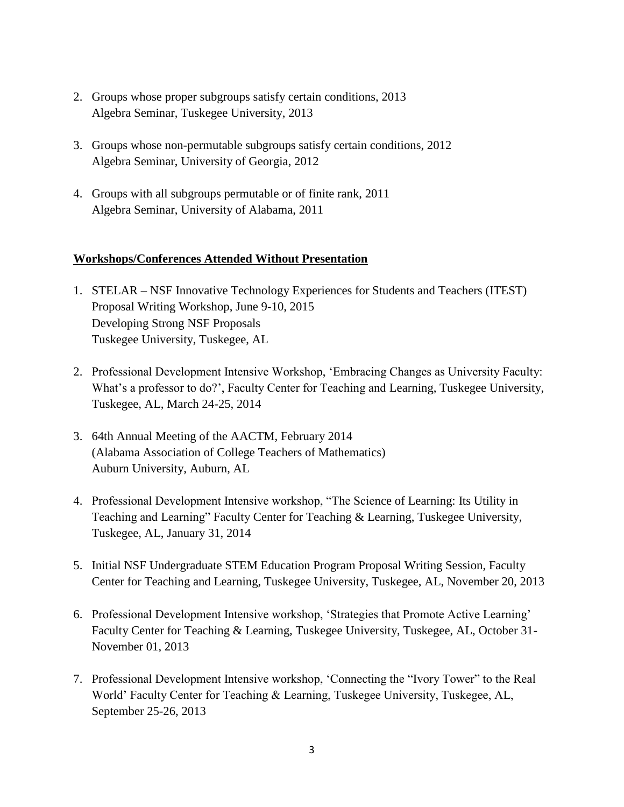- 2. Groups whose proper subgroups satisfy certain conditions, 2013 Algebra Seminar, Tuskegee University, 2013
- 3. Groups whose non-permutable subgroups satisfy certain conditions, 2012 Algebra Seminar, University of Georgia, 2012
- 4. Groups with all subgroups permutable or of finite rank, 2011 Algebra Seminar, University of Alabama, 2011

#### **Workshops/Conferences Attended Without Presentation**

- 1. STELAR NSF Innovative Technology Experiences for Students and Teachers (ITEST) Proposal Writing Workshop, June 9-10, 2015 Developing Strong NSF Proposals Tuskegee University, Tuskegee, AL
- 2. Professional Development Intensive Workshop, 'Embracing Changes as University Faculty: What's a professor to do?', Faculty Center for Teaching and Learning, Tuskegee University, Tuskegee, AL, March 24-25, 2014
- 3. 64th Annual Meeting of the AACTM, February 2014 (Alabama Association of College Teachers of Mathematics) Auburn University, Auburn, AL
- 4. Professional Development Intensive workshop, "The Science of Learning: Its Utility in Teaching and Learning" Faculty Center for Teaching & Learning, Tuskegee University, Tuskegee, AL, January 31, 2014
- 5. Initial NSF Undergraduate STEM Education Program Proposal Writing Session, Faculty Center for Teaching and Learning, Tuskegee University, Tuskegee, AL, November 20, 2013
- 6. Professional Development Intensive workshop, 'Strategies that Promote Active Learning' Faculty Center for Teaching & Learning, Tuskegee University, Tuskegee, AL, October 31- November 01, 2013
- 7. Professional Development Intensive workshop, 'Connecting the "Ivory Tower" to the Real World' Faculty Center for Teaching & Learning, Tuskegee University, Tuskegee, AL, September 25-26, 2013